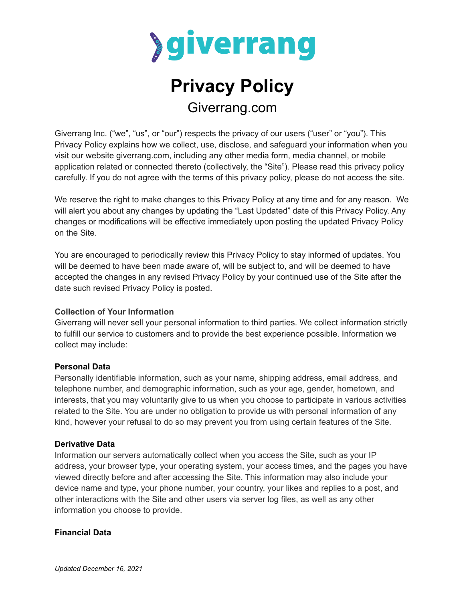

# **Privacy Policy** Giverrang.com

Giverrang Inc. ("we", "us", or "our") respects the privacy of our users ("user" or "you"). This Privacy Policy explains how we collect, use, disclose, and safeguard your information when you visit our website giverrang.com, including any other media form, media channel, or mobile application related or connected thereto (collectively, the "Site"). Please read this privacy policy carefully. If you do not agree with the terms of this privacy policy, please do not access the site.

We reserve the right to make changes to this Privacy Policy at any time and for any reason. We will alert you about any changes by updating the "Last Updated" date of this Privacy Policy. Any changes or modifications will be effective immediately upon posting the updated Privacy Policy on the Site.

You are encouraged to periodically review this Privacy Policy to stay informed of updates. You will be deemed to have been made aware of, will be subject to, and will be deemed to have accepted the changes in any revised Privacy Policy by your continued use of the Site after the date such revised Privacy Policy is posted.

# **Collection of Your Information**

Giverrang will never sell your personal information to third parties. We collect information strictly to fulfill our service to customers and to provide the best experience possible. Information we collect may include:

#### **Personal Data**

Personally identifiable information, such as your name, shipping address, email address, and telephone number, and demographic information, such as your age, gender, hometown, and interests, that you may voluntarily give to us when you choose to participate in various activities related to the Site. You are under no obligation to provide us with personal information of any kind, however your refusal to do so may prevent you from using certain features of the Site.

#### **Derivative Data**

Information our servers automatically collect when you access the Site, such as your IP address, your browser type, your operating system, your access times, and the pages you have viewed directly before and after accessing the Site. This information may also include your device name and type, your phone number, your country, your likes and replies to a post, and other interactions with the Site and other users via server log files, as well as any other information you choose to provide.

#### **Financial Data**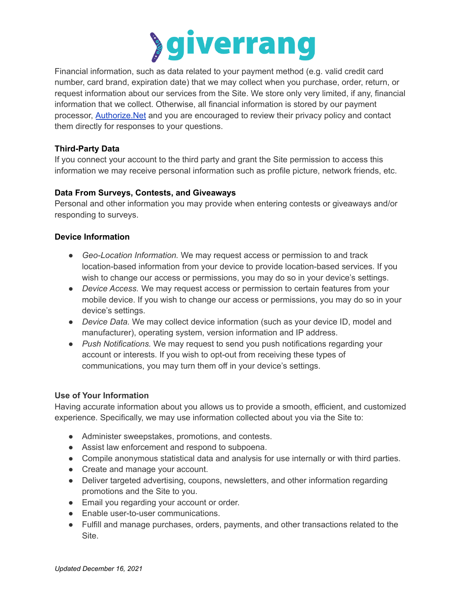

Financial information, such as data related to your payment method (e.g. valid credit card number, card brand, expiration date) that we may collect when you purchase, order, return, or request information about our services from the Site. We store only very limited, if any, financial information that we collect. Otherwise, all financial information is stored by our payment processor, [Authorize.Net](https://www.authorize.net/company/privacy/) and you are encouraged to review their privacy policy and contact them directly for responses to your questions.

# **Third-Party Data**

If you connect your account to the third party and grant the Site permission to access this information we may receive personal information such as profile picture, network friends, etc.

# **Data From Surveys, Contests, and Giveaways**

Personal and other information you may provide when entering contests or giveaways and/or responding to surveys.

# **Device Information**

- *Geo-Location Information.* We may request access or permission to and track location-based information from your device to provide location-based services. If you wish to change our access or permissions, you may do so in your device's settings.
- *Device Access.* We may request access or permission to certain features from your mobile device. If you wish to change our access or permissions, you may do so in your device's settings.
- *Device Data.* We may collect device information (such as your device ID, model and manufacturer), operating system, version information and IP address.
- *Push Notifications.* We may request to send you push notifications regarding your account or interests. If you wish to opt-out from receiving these types of communications, you may turn them off in your device's settings.

# **Use of Your Information**

Having accurate information about you allows us to provide a smooth, efficient, and customized experience. Specifically, we may use information collected about you via the Site to:

- Administer sweepstakes, promotions, and contests.
- Assist law enforcement and respond to subpoena.
- Compile anonymous statistical data and analysis for use internally or with third parties.
- Create and manage your account.
- Deliver targeted advertising, coupons, newsletters, and other information regarding promotions and the Site to you.
- Email you regarding your account or order.
- Enable user-to-user communications.
- Fulfill and manage purchases, orders, payments, and other transactions related to the Site.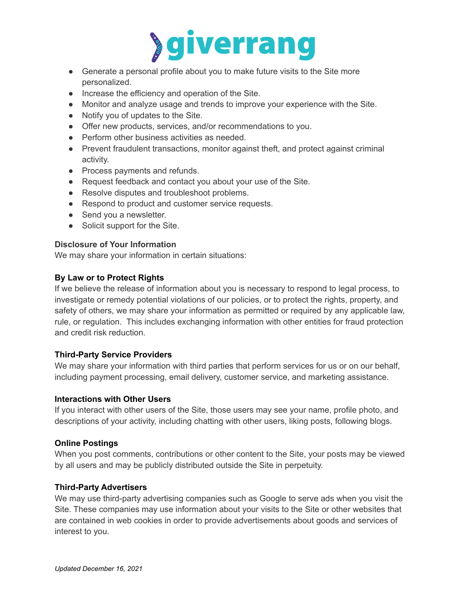

- Generate a personal profile about you to make future visits to the Site more personalized.
- Increase the efficiency and operation of the Site.
- Monitor and analyze usage and trends to improve your experience with the Site.
- Notify you of updates to the Site.
- Offer new products, services, and/or recommendations to you.
- Perform other business activities as needed.
- Prevent fraudulent transactions, monitor against theft, and protect against criminal activity.
- Process payments and refunds.
- Request feedback and contact you about your use of the Site.
- Resolve disputes and troubleshoot problems.
- Respond to product and customer service requests.
- Send you a newsletter.
- Solicit support for the Site.

# **Disclosure of Your Information**

We may share your information in certain situations:

# **By Law or to Protect Rights**

If we believe the release of information about you is necessary to respond to legal process, to investigate or remedy potential violations of our policies, or to protect the rights, property, and safety of others, we may share your information as permitted or required by any applicable law, rule, or regulation. This includes exchanging information with other entities for fraud protection and credit risk reduction.

# **Third-Party Service Providers**

We may share your information with third parties that perform services for us or on our behalf, including payment processing, email delivery, customer service, and marketing assistance.

# **Interactions with Other Users**

If you interact with other users of the Site, those users may see your name, profile photo, and descriptions of your activity, including chatting with other users, liking posts, following blogs.

# **Online Postings**

When you post comments, contributions or other content to the Site, your posts may be viewed by all users and may be publicly distributed outside the Site in perpetuity.

# **Third-Party Advertisers**

We may use third-party advertising companies such as Google to serve ads when you visit the Site. These companies may use information about your visits to the Site or other websites that are contained in web cookies in order to provide advertisements about goods and services of interest to you.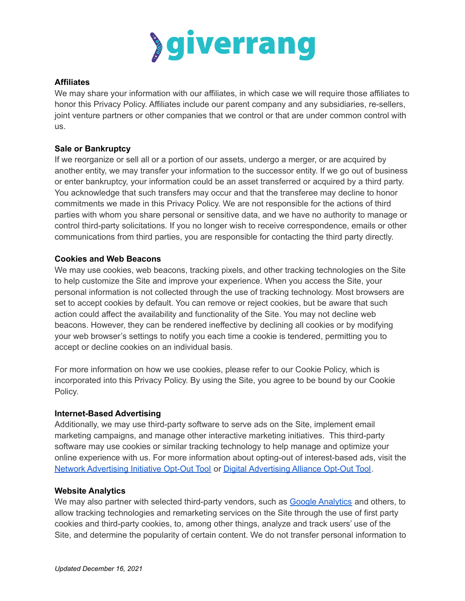

# **Affiliates**

We may share your information with our affiliates, in which case we will require those affiliates to honor this Privacy Policy. Affiliates include our parent company and any subsidiaries, re-sellers, joint venture partners or other companies that we control or that are under common control with us.

## **Sale or Bankruptcy**

If we reorganize or sell all or a portion of our assets, undergo a merger, or are acquired by another entity, we may transfer your information to the successor entity. If we go out of business or enter bankruptcy, your information could be an asset transferred or acquired by a third party. You acknowledge that such transfers may occur and that the transferee may decline to honor commitments we made in this Privacy Policy. We are not responsible for the actions of third parties with whom you share personal or sensitive data, and we have no authority to manage or control third-party solicitations. If you no longer wish to receive correspondence, emails or other communications from third parties, you are responsible for contacting the third party directly.

## **Cookies and Web Beacons**

We may use cookies, web beacons, tracking pixels, and other tracking technologies on the Site to help customize the Site and improve your experience. When you access the Site, your personal information is not collected through the use of tracking technology. Most browsers are set to accept cookies by default. You can remove or reject cookies, but be aware that such action could affect the availability and functionality of the Site. You may not decline web beacons. However, they can be rendered ineffective by declining all cookies or by modifying your web browser's settings to notify you each time a cookie is tendered, permitting you to accept or decline cookies on an individual basis.

For more information on how we use cookies, please refer to our Cookie Policy, which is incorporated into this Privacy Policy. By using the Site, you agree to be bound by our Cookie Policy.

#### **Internet-Based Advertising**

Additionally, we may use third-party software to serve ads on the Site, implement email marketing campaigns, and manage other interactive marketing initiatives. This third-party software may use cookies or similar tracking technology to help manage and optimize your online experience with us. For more information about opting-out of interest-based ads, visit th[e](http://www.networkadvertising.org/choices/) Network [Advertising](http://www.networkadvertising.org/choices/) Initiative Opt-Out Tool or Digital [Advertising](http://www.aboutads.info/choices/) Alliance Opt-Out Tool.

#### **Website Analytics**

We may also partner with selected third-party vendors, such as Google [Analytics](https://support.google.com/analytics/answer/6004245?hl=en) and others, to allow tracking technologies and remarketing services on the Site through the use of first party cookies and third-party cookies, to, among other things, analyze and track users' use of the Site, and determine the popularity of certain content. We do not transfer personal information to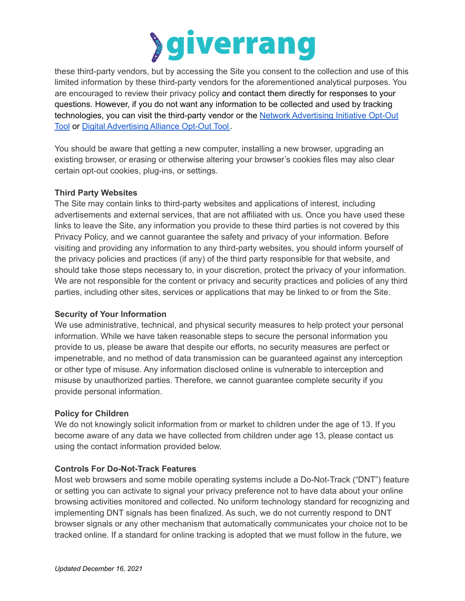

these third-party vendors, but by accessing the Site you consent to the collection and use of this limited information by these third-party vendors for the aforementioned analytical purposes. You are encouraged to review their privacy policy and contact them directly for responses to your questions. However, if you do not want any information to be collected and used by tracking technologies, you can visit the third-party vendor or the Network [Advertising](http://www.networkadvertising.org/choices/) Initiative Opt-Out [Tool](http://www.networkadvertising.org/choices/) or Digital [Advertising](http://www.aboutads.info/choices/) Alliance Opt-Out Tool.

You should be aware that getting a new computer, installing a new browser, upgrading an existing browser, or erasing or otherwise altering your browser's cookies files may also clear certain opt-out cookies, plug-ins, or settings.

## **Third Party Websites**

The Site may contain links to third-party websites and applications of interest, including advertisements and external services, that are not affiliated with us. Once you have used these links to leave the Site, any information you provide to these third parties is not covered by this Privacy Policy, and we cannot guarantee the safety and privacy of your information. Before visiting and providing any information to any third-party websites, you should inform yourself of the privacy policies and practices (if any) of the third party responsible for that website, and should take those steps necessary to, in your discretion, protect the privacy of your information. We are not responsible for the content or privacy and security practices and policies of any third parties, including other sites, services or applications that may be linked to or from the Site.

#### **Security of Your Information**

We use administrative, technical, and physical security measures to help protect your personal information. While we have taken reasonable steps to secure the personal information you provide to us, please be aware that despite our efforts, no security measures are perfect or impenetrable, and no method of data transmission can be guaranteed against any interception or other type of misuse. Any information disclosed online is vulnerable to interception and misuse by unauthorized parties. Therefore, we cannot guarantee complete security if you provide personal information.

# **Policy for Children**

We do not knowingly solicit information from or market to children under the age of 13. If you become aware of any data we have collected from children under age 13, please contact us using the contact information provided below.

# **Controls For Do-Not-Track Features**

Most web browsers and some mobile operating systems include a Do-Not-Track ("DNT") feature or setting you can activate to signal your privacy preference not to have data about your online browsing activities monitored and collected. No uniform technology standard for recognizing and implementing DNT signals has been finalized. As such, we do not currently respond to DNT browser signals or any other mechanism that automatically communicates your choice not to be tracked online. If a standard for online tracking is adopted that we must follow in the future, we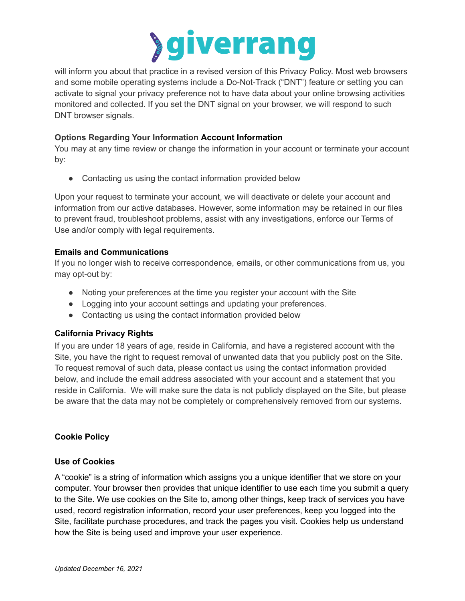

will inform you about that practice in a revised version of this Privacy Policy. Most web browsers and some mobile operating systems include a Do-Not-Track ("DNT") feature or setting you can activate to signal your privacy preference not to have data about your online browsing activities monitored and collected. If you set the DNT signal on your browser, we will respond to such DNT browser signals.

# **Options Regarding Your Information Account Information**

You may at any time review or change the information in your account or terminate your account by:

• Contacting us using the contact information provided below

Upon your request to terminate your account, we will deactivate or delete your account and information from our active databases. However, some information may be retained in our files to prevent fraud, troubleshoot problems, assist with any investigations, enforce our Terms of Use and/or comply with legal requirements.

# **Emails and Communications**

If you no longer wish to receive correspondence, emails, or other communications from us, you may opt-out by:

- Noting your preferences at the time you register your account with the Site
- Logging into your account settings and updating your preferences.
- Contacting us using the contact information provided below

# **California Privacy Rights**

If you are under 18 years of age, reside in California, and have a registered account with the Site, you have the right to request removal of unwanted data that you publicly post on the Site. To request removal of such data, please contact us using the contact information provided below, and include the email address associated with your account and a statement that you reside in California. We will make sure the data is not publicly displayed on the Site, but please be aware that the data may not be completely or comprehensively removed from our systems.

# **Cookie Policy**

# **Use of Cookies**

A "cookie" is a string of information which assigns you a unique identifier that we store on your computer. Your browser then provides that unique identifier to use each time you submit a query to the Site. We use cookies on the Site to, among other things, keep track of services you have used, record registration information, record your user preferences, keep you logged into the Site, facilitate purchase procedures, and track the pages you visit. Cookies help us understand how the Site is being used and improve your user experience.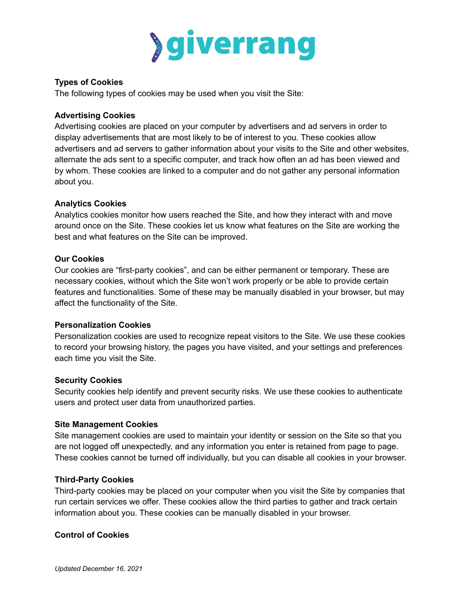

# **Types of Cookies**

The following types of cookies may be used when you visit the Site:

## **Advertising Cookies**

Advertising cookies are placed on your computer by advertisers and ad servers in order to display advertisements that are most likely to be of interest to you. These cookies allow advertisers and ad servers to gather information about your visits to the Site and other websites, alternate the ads sent to a specific computer, and track how often an ad has been viewed and by whom. These cookies are linked to a computer and do not gather any personal information about you.

# **Analytics Cookies**

Analytics cookies monitor how users reached the Site, and how they interact with and move around once on the Site. These cookies let us know what features on the Site are working the best and what features on the Site can be improved.

## **Our Cookies**

Our cookies are "first-party cookies", and can be either permanent or temporary. These are necessary cookies, without which the Site won't work properly or be able to provide certain features and functionalities. Some of these may be manually disabled in your browser, but may affect the functionality of the Site.

# **Personalization Cookies**

Personalization cookies are used to recognize repeat visitors to the Site. We use these cookies to record your browsing history, the pages you have visited, and your settings and preferences each time you visit the Site.

# **Security Cookies**

Security cookies help identify and prevent security risks. We use these cookies to authenticate users and protect user data from unauthorized parties.

#### **Site Management Cookies**

Site management cookies are used to maintain your identity or session on the Site so that you are not logged off unexpectedly, and any information you enter is retained from page to page. These cookies cannot be turned off individually, but you can disable all cookies in your browser.

#### **Third-Party Cookies**

Third-party cookies may be placed on your computer when you visit the Site by companies that run certain services we offer. These cookies allow the third parties to gather and track certain information about you. These cookies can be manually disabled in your browser.

# **Control of Cookies**